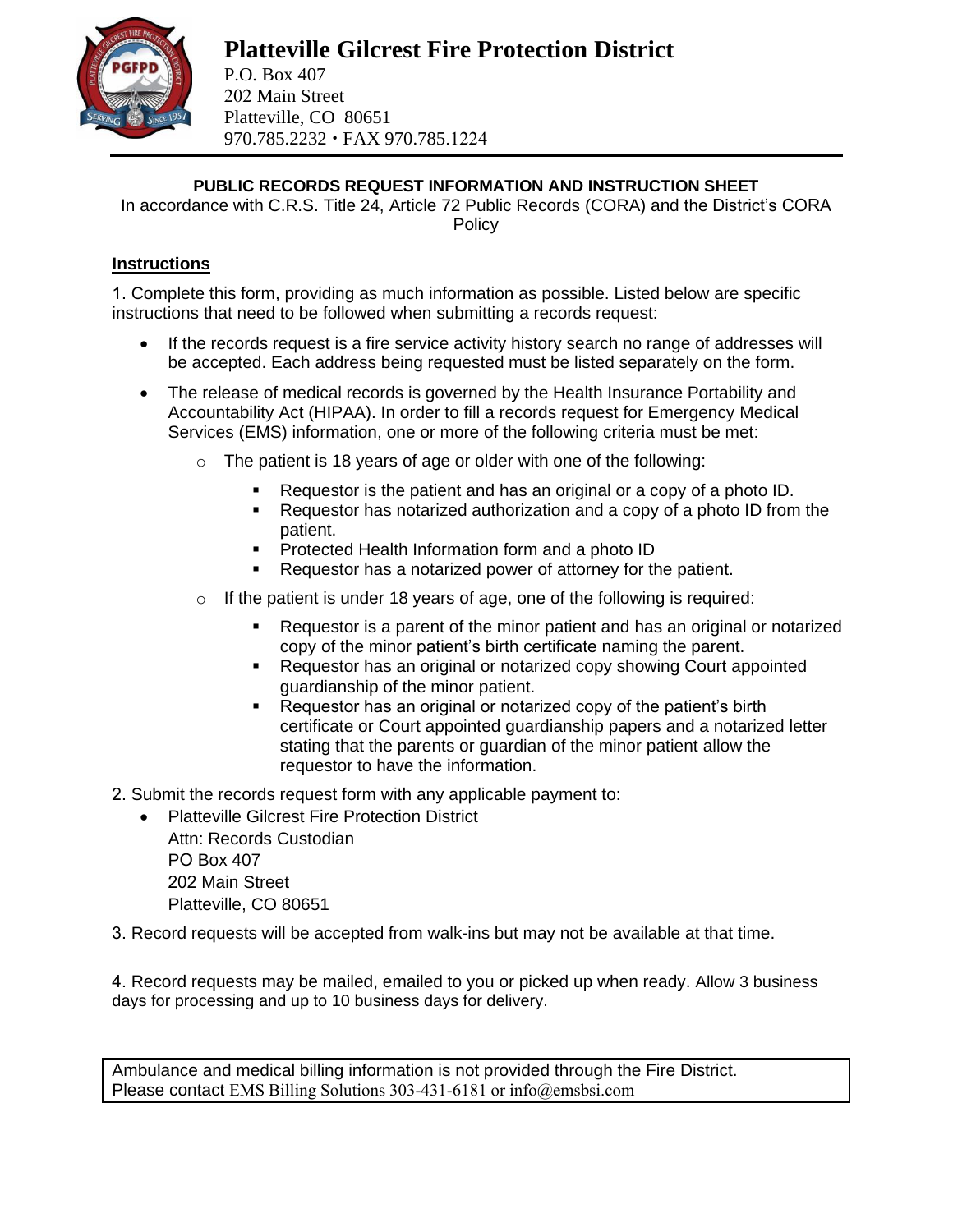

202 Main Street Platteville, CO 80651 970.785.2232 FAX 970.785.1224

**PUBLIC RECORDS REQUEST INFORMATION AND INSTRUCTION SHEET**

In accordance with C.R.S. Title 24, Article 72 Public Records (CORA) and the District's CORA **Policy** 

## **Instructions**

1. Complete this form, providing as much information as possible. Listed below are specific instructions that need to be followed when submitting a records request:

- If the records request is a fire service activity history search no range of addresses will be accepted. Each address being requested must be listed separately on the form.
- The release of medical records is governed by the Health Insurance Portability and Accountability Act (HIPAA). In order to fill a records request for Emergency Medical Services (EMS) information, one or more of the following criteria must be met:
	- $\circ$  The patient is 18 years of age or older with one of the following:
		- Requestor is the patient and has an original or a copy of a photo ID.
		- Requestor has notarized authorization and a copy of a photo ID from the patient.
		- Protected Health Information form and a photo ID
		- Requestor has a notarized power of attorney for the patient.
	- $\circ$  If the patient is under 18 years of age, one of the following is required:
		- Requestor is a parent of the minor patient and has an original or notarized copy of the minor patient's birth certificate naming the parent.
		- Requestor has an original or notarized copy showing Court appointed guardianship of the minor patient.
		- Requestor has an original or notarized copy of the patient's birth certificate or Court appointed guardianship papers and a notarized letter stating that the parents or guardian of the minor patient allow the requestor to have the information.
- 2. Submit the records request form with any applicable payment to:
	- Platteville Gilcrest Fire Protection District Attn: Records Custodian PO Box 407 202 Main Street Platteville, CO 80651
- 3. Record requests will be accepted from walk-ins but may not be available at that time.

4. Record requests may be mailed, emailed to you or picked up when ready. Allow 3 business days for processing and up to 10 business days for delivery.

Ambulance and medical billing information is not provided through the Fire District. Please contact EMS Billing Solutions 303-431-6181 or info@emsbsi.com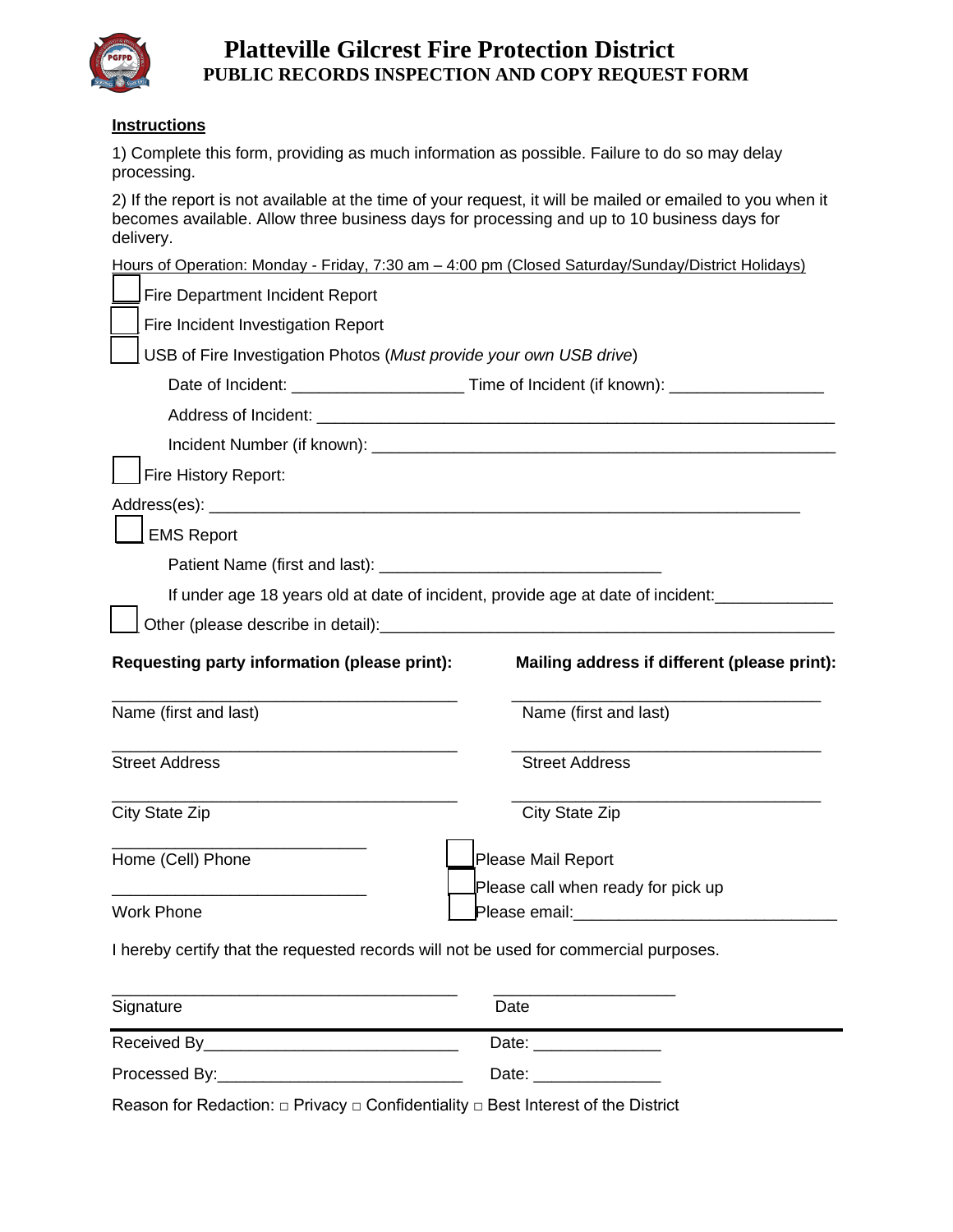

# **Platteville Gilcrest Fire Protection District PUBLIC RECORDS INSPECTION AND COPY REQUEST FORM**

#### **Instructions**

1) Complete this form, providing as much information as possible. Failure to do so may delay processing.

2) If the report is not available at the time of your request, it will be mailed or emailed to you when it becomes available. Allow three business days for processing and up to 10 business days for delivery.

|                                                                                       | Hours of Operation: Monday - Friday, 7:30 am - 4:00 pm (Closed Saturday/Sunday/District Holidays)   |  |  |
|---------------------------------------------------------------------------------------|-----------------------------------------------------------------------------------------------------|--|--|
| Fire Department Incident Report                                                       |                                                                                                     |  |  |
| Fire Incident Investigation Report                                                    |                                                                                                     |  |  |
| USB of Fire Investigation Photos (Must provide your own USB drive)                    |                                                                                                     |  |  |
|                                                                                       | Date of Incident: ___________________________Time of Incident (if known): _________________________ |  |  |
|                                                                                       |                                                                                                     |  |  |
|                                                                                       |                                                                                                     |  |  |
| Fire History Report:                                                                  |                                                                                                     |  |  |
|                                                                                       |                                                                                                     |  |  |
| <b>EMS Report</b>                                                                     |                                                                                                     |  |  |
|                                                                                       |                                                                                                     |  |  |
|                                                                                       | If under age 18 years old at date of incident, provide age at date of incident:                     |  |  |
|                                                                                       |                                                                                                     |  |  |
| Requesting party information (please print):                                          | Mailing address if different (please print):                                                        |  |  |
| Name (first and last)                                                                 | Name (first and last)                                                                               |  |  |
| <b>Street Address</b>                                                                 | <b>Street Address</b>                                                                               |  |  |
| <b>City State Zip</b>                                                                 | City State Zip                                                                                      |  |  |
| Home (Cell) Phone                                                                     | Please Mail Report                                                                                  |  |  |
|                                                                                       | Please call when ready for pick up                                                                  |  |  |
| <b>Work Phone</b>                                                                     | Please email: National Contract of Please email:                                                    |  |  |
| I hereby certify that the requested records will not be used for commercial purposes. |                                                                                                     |  |  |
| Signature                                                                             | Date                                                                                                |  |  |
| Received By_                                                                          | Date: <u>_____________</u>                                                                          |  |  |
| Processed By:                                                                         | Date:                                                                                               |  |  |

Reason for Redaction: □ Privacy □ Confidentiality □ Best Interest of the District